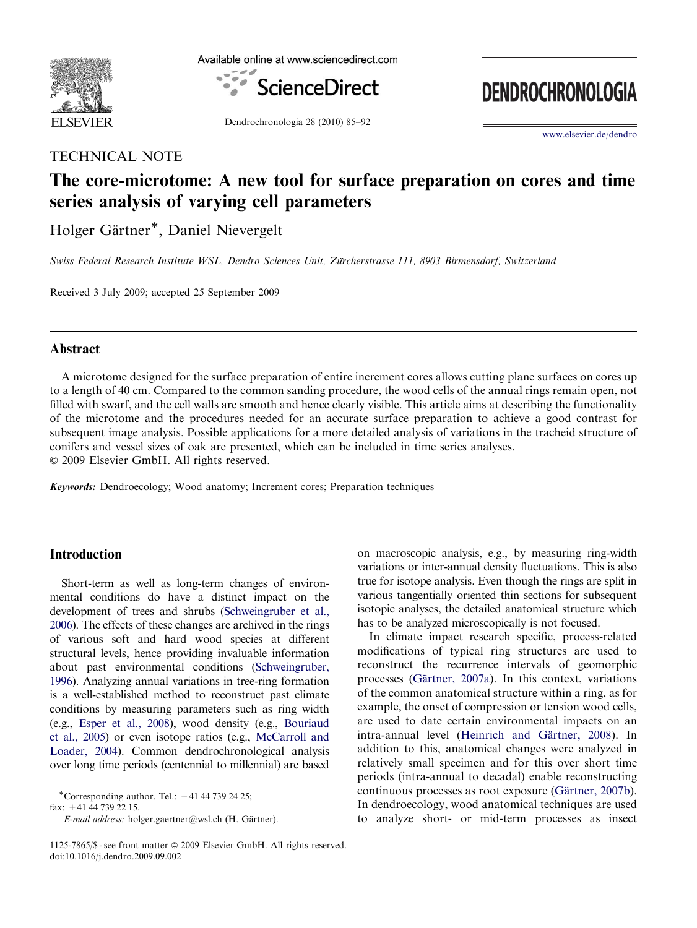

Available online at www.sciencedirect.com



**DENDROCHRONOLOGIA** 

TECHNICAL NOTE

Dendrochronologia 28 (2010) 85–92

<www.elsevier.de/dendro>

# The core-microtome: A new tool for surface preparation on cores and time series analysis of varying cell parameters

Holger Gärtner\*, Daniel Nievergelt

Swiss Federal Research Institute WSL, Dendro Sciences Unit, Zürcherstrasse 111, 8903 Birmensdorf, Switzerland

Received 3 July 2009; accepted 25 September 2009

## Abstract

A microtome designed for the surface preparation of entire increment cores allows cutting plane surfaces on cores up to a length of 40 cm. Compared to the common sanding procedure, the wood cells of the annual rings remain open, not filled with swarf, and the cell walls are smooth and hence clearly visible. This article aims at describing the functionality of the microtome and the procedures needed for an accurate surface preparation to achieve a good contrast for subsequent image analysis. Possible applications for a more detailed analysis of variations in the tracheid structure of conifers and vessel sizes of oak are presented, which can be included in time series analyses. & 2009 Elsevier GmbH. All rights reserved.

Keywords: Dendroecology; Wood anatomy; Increment cores; Preparation techniques

## Introduction

Short-term as well as long-term changes of environmental conditions do have a distinct impact on the development of trees and shrubs ([Schweingruber et al.,](#page-7-0) [2006\)](#page-7-0). The effects of these changes are archived in the rings of various soft and hard wood species at different structural levels, hence providing invaluable information about past environmental conditions [\(Schweingruber,](#page-7-0) [1996\)](#page-7-0). Analyzing annual variations in tree-ring formation is a well-established method to reconstruct past climate conditions by measuring parameters such as ring width (e.g., [Esper et al., 2008\)](#page-7-0), wood density (e.g., [Bouriaud](#page-6-0) [et al., 2005\)](#page-6-0) or even isotope ratios (e.g., [McCarroll and](#page-7-0) [Loader, 2004](#page-7-0)). Common dendrochronological analysis over long time periods (centennial to millennial) are based

 $\overline{\text{''Corresponding author}}$ . Tel.: +41 44 739 24 25;

on macroscopic analysis, e.g., by measuring ring-width variations or inter-annual density fluctuations. This is also true for isotope analysis. Even though the rings are split in various tangentially oriented thin sections for subsequent isotopic analyses, the detailed anatomical structure which has to be analyzed microscopically is not focused.

In climate impact research specific, process-related modifications of typical ring structures are used to reconstruct the recurrence intervals of geomorphic processes (Gä[rtner, 2007a\)](#page-7-0). In this context, variations of the common anatomical structure within a ring, as for example, the onset of compression or tension wood cells, are used to date certain environmental impacts on an intra-annual level ([Heinrich and G](#page-7-0)ärtner, 2008). In addition to this, anatomical changes were analyzed in relatively small specimen and for this over short time periods (intra-annual to decadal) enable reconstructing continuous processes as root exposure (Gä[rtner, 2007b\)](#page-7-0). In dendroecology, wood anatomical techniques are used to analyze short- or mid-term processes as insect

fax: +41 44 739 22 15.

E-mail address: [holger.gaertner@wsl.ch \(H. G](mailto:holger.gaertner@wsl.ch)ärtner).

<sup>1125-7865/\$ -</sup> see front matter & 2009 Elsevier GmbH. All rights reserved. doi:[10.1016/j.dendro.2009.09.002](dx.doi.org/10.1016/j.dendro.2009.09.002)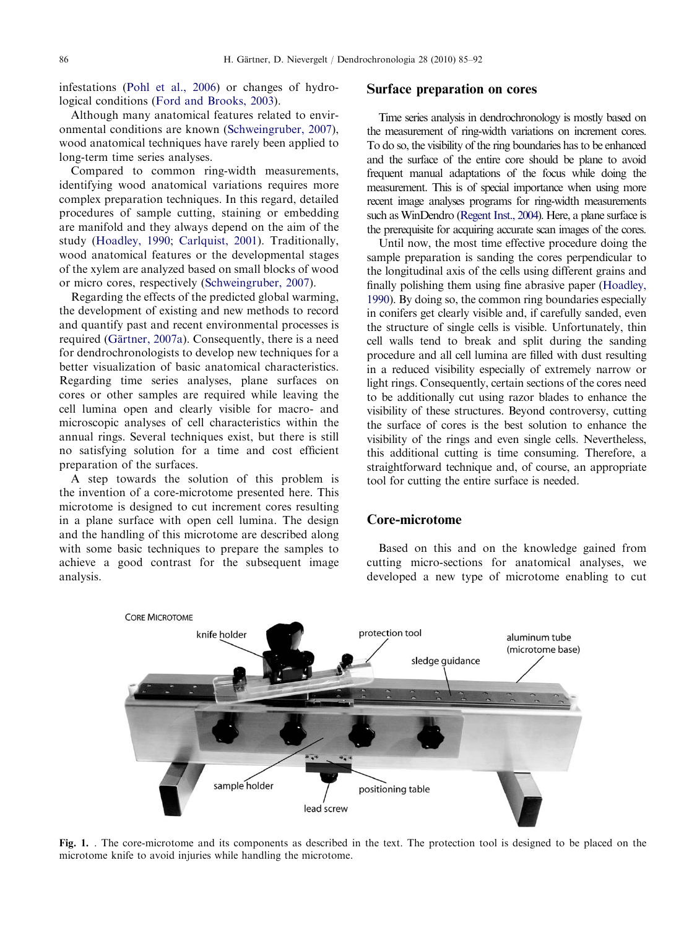<span id="page-1-0"></span>infestations [\(Pohl et al., 2006\)](#page-7-0) or changes of hydrological conditions [\(Ford and Brooks, 2003](#page-7-0)).

Although many anatomical features related to environmental conditions are known [\(Schweingruber, 2007\)](#page-7-0), wood anatomical techniques have rarely been applied to long-term time series analyses.

Compared to common ring-width measurements, identifying wood anatomical variations requires more complex preparation techniques. In this regard, detailed procedures of sample cutting, staining or embedding are manifold and they always depend on the aim of the study ([Hoadley, 1990;](#page-7-0) [Carlquist, 2001](#page-6-0)). Traditionally, wood anatomical features or the developmental stages of the xylem are analyzed based on small blocks of wood or micro cores, respectively [\(Schweingruber, 2007](#page-7-0)).

Regarding the effects of the predicted global warming, the development of existing and new methods to record and quantify past and recent environmental processes is required (Gä[rtner, 2007a](#page-7-0)). Consequently, there is a need for dendrochronologists to develop new techniques for a better visualization of basic anatomical characteristics. Regarding time series analyses, plane surfaces on cores or other samples are required while leaving the cell lumina open and clearly visible for macro- and microscopic analyses of cell characteristics within the annual rings. Several techniques exist, but there is still no satisfying solution for a time and cost efficient preparation of the surfaces.

A step towards the solution of this problem is the invention of a core-microtome presented here. This microtome is designed to cut increment cores resulting in a plane surface with open cell lumina. The design and the handling of this microtome are described along with some basic techniques to prepare the samples to achieve a good contrast for the subsequent image analysis.

#### Surface preparation on cores

Time series analysis in dendrochronology is mostly based on the measurement of ring-width variations on increment cores. To do so, the visibility of the ring boundaries has to be enhanced and the surface of the entire core should be plane to avoid frequent manual adaptations of the focus while doing the measurement. This is of special importance when using more recent image analyses programs for ring-width measurements such as WinDendro [\(Regent Inst., 2004\)](#page-7-0). Here, a plane surface is the prerequisite for acquiring accurate scan images of the cores.

Until now, the most time effective procedure doing the sample preparation is sanding the cores perpendicular to the longitudinal axis of the cells using different grains and finally polishing them using fine abrasive paper [\(Hoadley,](#page-7-0) [1990\)](#page-7-0). By doing so, the common ring boundaries especially in conifers get clearly visible and, if carefully sanded, even the structure of single cells is visible. Unfortunately, thin cell walls tend to break and split during the sanding procedure and all cell lumina are filled with dust resulting in a reduced visibility especially of extremely narrow or light rings. Consequently, certain sections of the cores need to be additionally cut using razor blades to enhance the visibility of these structures. Beyond controversy, cutting the surface of cores is the best solution to enhance the visibility of the rings and even single cells. Nevertheless, this additional cutting is time consuming. Therefore, a straightforward technique and, of course, an appropriate tool for cutting the entire surface is needed.

#### Core-microtome

Based on this and on the knowledge gained from cutting micro-sections for anatomical analyses, we developed a new type of microtome enabling to cut



Fig. 1. . The core-microtome and its components as described in the text. The protection tool is designed to be placed on the microtome knife to avoid injuries while handling the microtome.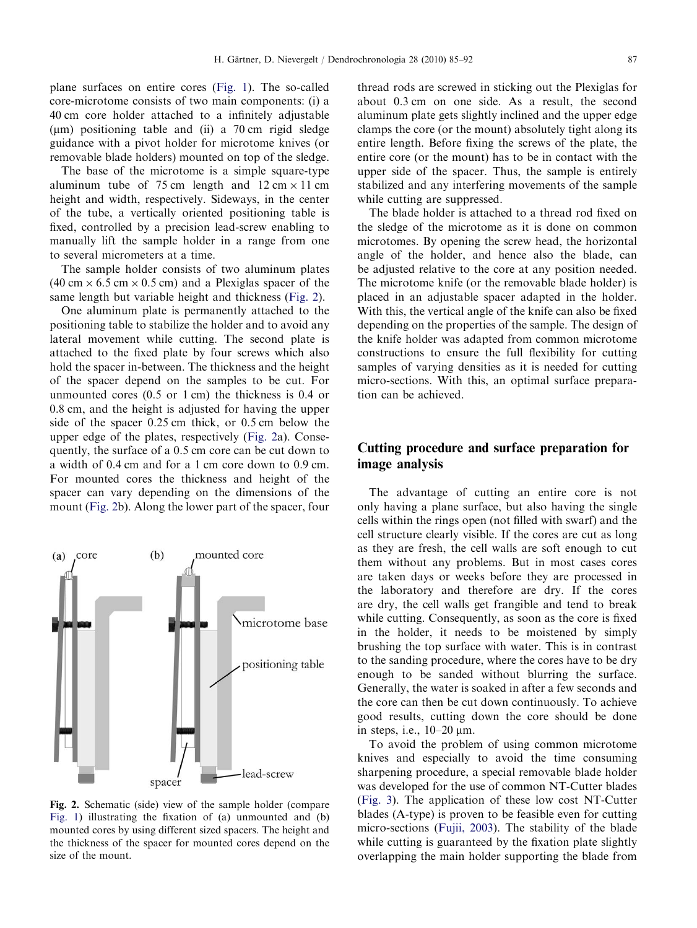plane surfaces on entire cores ([Fig. 1\)](#page-1-0). The so-called core-microtome consists of two main components: (i) a 40 cm core holder attached to a infinitely adjustable ( $\mu$ m) positioning table and (ii) a 70 cm rigid sledge guidance with a pivot holder for microtome knives (or removable blade holders) mounted on top of the sledge.

The base of the microtome is a simple square-type aluminum tube of 75 cm length and  $12 \text{ cm} \times 11 \text{ cm}$ height and width, respectively. Sideways, in the center of the tube, a vertically oriented positioning table is fixed, controlled by a precision lead-screw enabling to manually lift the sample holder in a range from one to several micrometers at a time.

The sample holder consists of two aluminum plates  $(40 \text{ cm} \times 6.5 \text{ cm} \times 0.5 \text{ cm})$  and a Plexiglas spacer of the same length but variable height and thickness (Fig. 2).

One aluminum plate is permanently attached to the positioning table to stabilize the holder and to avoid any lateral movement while cutting. The second plate is attached to the fixed plate by four screws which also hold the spacer in-between. The thickness and the height of the spacer depend on the samples to be cut. For unmounted cores (0.5 or 1 cm) the thickness is 0.4 or 0.8 cm, and the height is adjusted for having the upper side of the spacer 0.25 cm thick, or 0.5 cm below the upper edge of the plates, respectively (Fig. 2a). Consequently, the surface of a 0.5 cm core can be cut down to a width of 0.4 cm and for a 1 cm core down to 0.9 cm. For mounted cores the thickness and height of the spacer can vary depending on the dimensions of the mount (Fig. 2b). Along the lower part of the spacer, four

-lead-screw spacer Fig. 2. Schematic (side) view of the sample holder (compare [Fig. 1](#page-1-0)) illustrating the fixation of (a) unmounted and (b) mounted cores by using different sized spacers. The height and the thickness of the spacer for mounted cores depend on the

size of the mount.

core

thread rods are screwed in sticking out the Plexiglas for about 0.3 cm on one side. As a result, the second aluminum plate gets slightly inclined and the upper edge clamps the core (or the mount) absolutely tight along its entire length. Before fixing the screws of the plate, the entire core (or the mount) has to be in contact with the upper side of the spacer. Thus, the sample is entirely stabilized and any interfering movements of the sample while cutting are suppressed.

The blade holder is attached to a thread rod fixed on the sledge of the microtome as it is done on common microtomes. By opening the screw head, the horizontal angle of the holder, and hence also the blade, can be adjusted relative to the core at any position needed. The microtome knife (or the removable blade holder) is placed in an adjustable spacer adapted in the holder. With this, the vertical angle of the knife can also be fixed depending on the properties of the sample. The design of the knife holder was adapted from common microtome constructions to ensure the full flexibility for cutting samples of varying densities as it is needed for cutting micro-sections. With this, an optimal surface preparation can be achieved.

## Cutting procedure and surface preparation for image analysis

The advantage of cutting an entire core is not only having a plane surface, but also having the single cells within the rings open (not filled with swarf) and the cell structure clearly visible. If the cores are cut as long as they are fresh, the cell walls are soft enough to cut them without any problems. But in most cases cores are taken days or weeks before they are processed in the laboratory and therefore are dry. If the cores are dry, the cell walls get frangible and tend to break while cutting. Consequently, as soon as the core is fixed in the holder, it needs to be moistened by simply brushing the top surface with water. This is in contrast to the sanding procedure, where the cores have to be dry enough to be sanded without blurring the surface. Generally, the water is soaked in after a few seconds and the core can then be cut down continuously. To achieve good results, cutting down the core should be done in steps, i.e.,  $10-20 \mu m$ .

To avoid the problem of using common microtome knives and especially to avoid the time consuming sharpening procedure, a special removable blade holder was developed for the use of common NT-Cutter blades ([Fig. 3](#page-3-0)). The application of these low cost NT-Cutter blades (A-type) is proven to be feasible even for cutting micro-sections ([Fujii, 2003\)](#page-7-0). The stability of the blade while cutting is guaranteed by the fixation plate slightly overlapping the main holder supporting the blade from



mounted core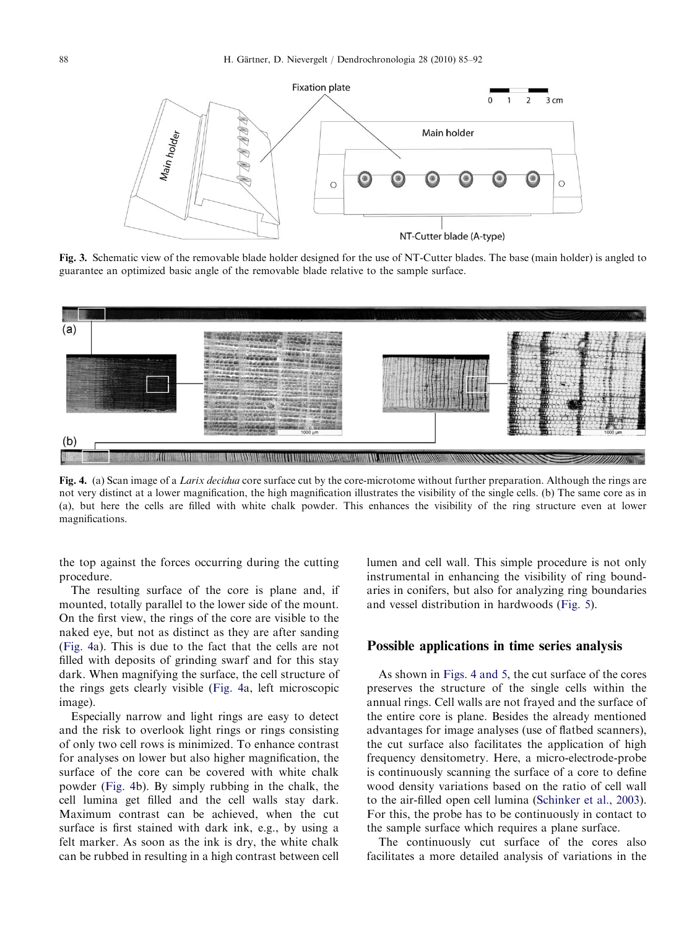<span id="page-3-0"></span>

Fig. 3. Schematic view of the removable blade holder designed for the use of NT-Cutter blades. The base (main holder) is angled to guarantee an optimized basic angle of the removable blade relative to the sample surface.



Fig. 4. (a) Scan image of a Larix decidua core surface cut by the core-microtome without further preparation. Although the rings are not very distinct at a lower magnification, the high magnification illustrates the visibility of the single cells. (b) The same core as in (a), but here the cells are filled with white chalk powder. This enhances the visibility of the ring structure even at lower magnifications.

the top against the forces occurring during the cutting procedure.

The resulting surface of the core is plane and, if mounted, totally parallel to the lower side of the mount. On the first view, the rings of the core are visible to the naked eye, but not as distinct as they are after sanding (Fig. 4a). This is due to the fact that the cells are not filled with deposits of grinding swarf and for this stay dark. When magnifying the surface, the cell structure of the rings gets clearly visible (Fig. 4a, left microscopic image).

Especially narrow and light rings are easy to detect and the risk to overlook light rings or rings consisting of only two cell rows is minimized. To enhance contrast for analyses on lower but also higher magnification, the surface of the core can be covered with white chalk powder (Fig. 4b). By simply rubbing in the chalk, the cell lumina get filled and the cell walls stay dark. Maximum contrast can be achieved, when the cut surface is first stained with dark ink, e.g., by using a felt marker. As soon as the ink is dry, the white chalk can be rubbed in resulting in a high contrast between cell lumen and cell wall. This simple procedure is not only instrumental in enhancing the visibility of ring boundaries in conifers, but also for analyzing ring boundaries and vessel distribution in hardwoods [\(Fig. 5\)](#page-4-0).

#### Possible applications in time series analysis

As shown in Figs. 4 and 5, the cut surface of the cores preserves the structure of the single cells within the annual rings. Cell walls are not frayed and the surface of the entire core is plane. Besides the already mentioned advantages for image analyses (use of flatbed scanners), the cut surface also facilitates the application of high frequency densitometry. Here, a micro-electrode-probe is continuously scanning the surface of a core to define wood density variations based on the ratio of cell wall to the air-filled open cell lumina ([Schinker et al., 2003\)](#page-7-0). For this, the probe has to be continuously in contact to the sample surface which requires a plane surface.

The continuously cut surface of the cores also facilitates a more detailed analysis of variations in the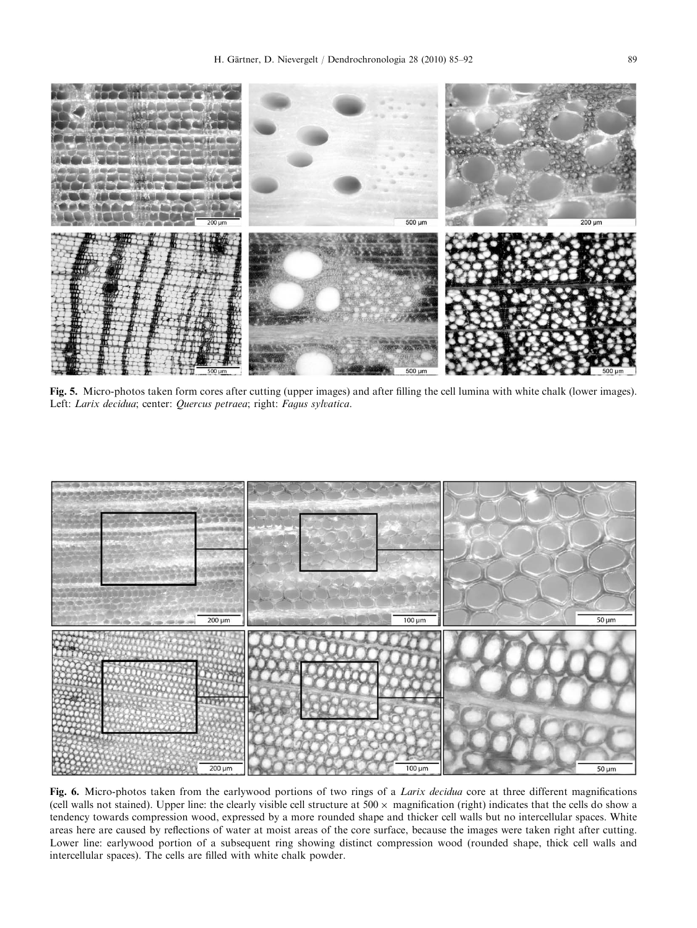<span id="page-4-0"></span>

Fig. 5. Micro-photos taken form cores after cutting (upper images) and after filling the cell lumina with white chalk (lower images). Left: Larix decidua; center: Quercus petraea; right: Fagus sylvatica.



Fig. 6. Micro-photos taken from the earlywood portions of two rings of a Larix decidua core at three different magnifications (cell walls not stained). Upper line: the clearly visible cell structure at  $500 \times$  magnification (right) indicates that the cells do show a tendency towards compression wood, expressed by a more rounded shape and thicker cell walls but no intercellular spaces. White areas here are caused by reflections of water at moist areas of the core surface, because the images were taken right after cutting. Lower line: earlywood portion of a subsequent ring showing distinct compression wood (rounded shape, thick cell walls and intercellular spaces). The cells are filled with white chalk powder.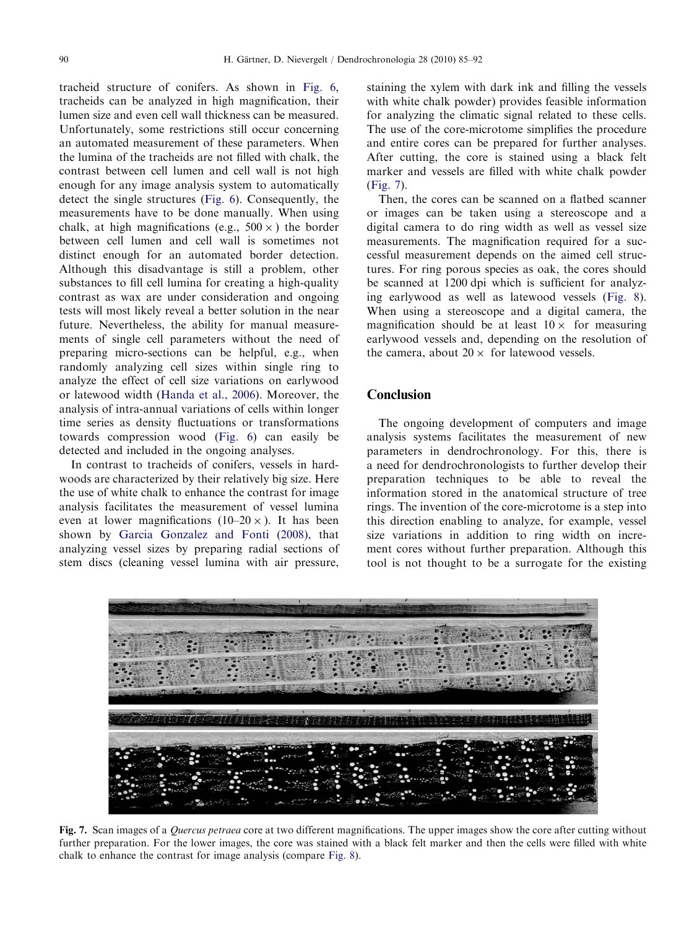<span id="page-5-0"></span>tracheid structure of conifers. As shown in [Fig. 6](#page-4-0), tracheids can be analyzed in high magnification, their lumen size and even cell wall thickness can be measured. Unfortunately, some restrictions still occur concerning an automated measurement of these parameters. When the lumina of the tracheids are not filled with chalk, the contrast between cell lumen and cell wall is not high enough for any image analysis system to automatically detect the single structures ([Fig. 6](#page-4-0)). Consequently, the measurements have to be done manually. When using chalk, at high magnifications (e.g.,  $500 \times$ ) the border between cell lumen and cell wall is sometimes not distinct enough for an automated border detection. Although this disadvantage is still a problem, other substances to fill cell lumina for creating a high-quality contrast as wax are under consideration and ongoing tests will most likely reveal a better solution in the near future. Nevertheless, the ability for manual measurements of single cell parameters without the need of preparing micro-sections can be helpful, e.g., when randomly analyzing cell sizes within single ring to analyze the effect of cell size variations on earlywood or latewood width [\(Handa et al., 2006](#page-7-0)). Moreover, the analysis of intra-annual variations of cells within longer time series as density fluctuations or transformations towards compression wood ([Fig. 6](#page-4-0)) can easily be detected and included in the ongoing analyses.

In contrast to tracheids of conifers, vessels in hardwoods are characterized by their relatively big size. Here the use of white chalk to enhance the contrast for image analysis facilitates the measurement of vessel lumina even at lower magnifications  $(10-20 \times)$ . It has been shown by [Garcia Gonzalez and Fonti \(2008\)](#page-7-0), that analyzing vessel sizes by preparing radial sections of stem discs (cleaning vessel lumina with air pressure,

staining the xylem with dark ink and filling the vessels with white chalk powder) provides feasible information for analyzing the climatic signal related to these cells. The use of the core-microtome simplifies the procedure and entire cores can be prepared for further analyses. After cutting, the core is stained using a black felt marker and vessels are filled with white chalk powder (Fig. 7).

Then, the cores can be scanned on a flatbed scanner or images can be taken using a stereoscope and a digital camera to do ring width as well as vessel size measurements. The magnification required for a successful measurement depends on the aimed cell structures. For ring porous species as oak, the cores should be scanned at 1200 dpi which is sufficient for analyzing earlywood as well as latewood vessels ([Fig. 8\)](#page-6-0). When using a stereoscope and a digital camera, the magnification should be at least  $10 \times$  for measuring earlywood vessels and, depending on the resolution of the camera, about  $20 \times$  for latewood vessels.

## Conclusion

The ongoing development of computers and image analysis systems facilitates the measurement of new parameters in dendrochronology. For this, there is a need for dendrochronologists to further develop their preparation techniques to be able to reveal the information stored in the anatomical structure of tree rings. The invention of the core-microtome is a step into this direction enabling to analyze, for example, vessel size variations in addition to ring width on increment cores without further preparation. Although this tool is not thought to be a surrogate for the existing



Fig. 7. Scan images of a *Quercus petraea* core at two different magnifications. The upper images show the core after cutting without further preparation. For the lower images, the core was stained with a black felt marker and then the cells were filled with white chalk to enhance the contrast for image analysis (compare [Fig. 8](#page-6-0)).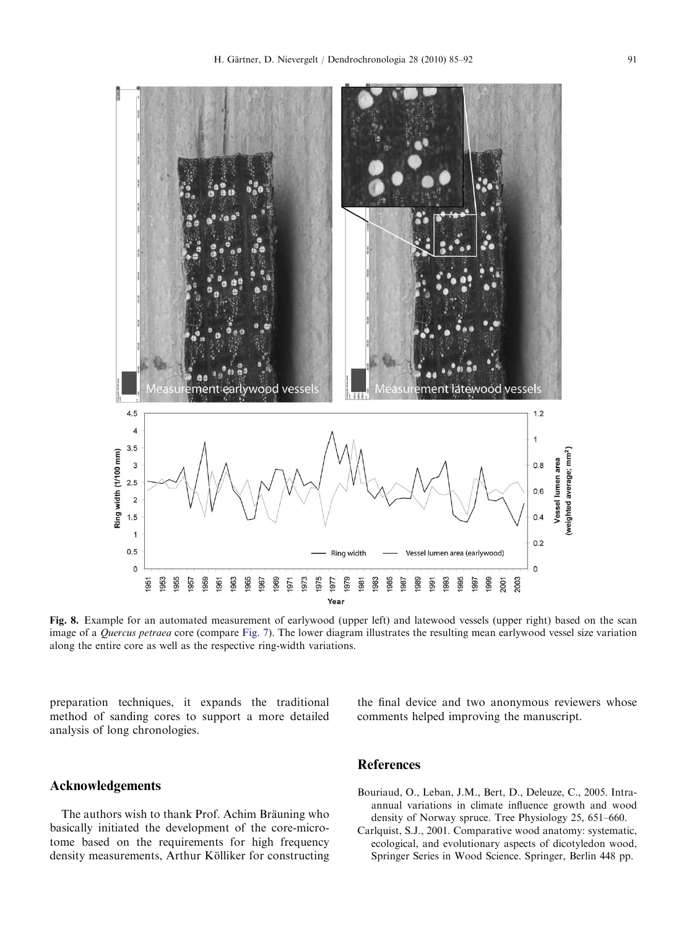<span id="page-6-0"></span>

Fig. 8. Example for an automated measurement of earlywood (upper left) and latewood vessels (upper right) based on the scan image of a *Quercus petraea* core (compare [Fig. 7](#page-5-0)). The lower diagram illustrates the resulting mean earlywood vessel size variation along the entire core as well as the respective ring-width variations.

preparation techniques, it expands the traditional method of sanding cores to support a more detailed analysis of long chronologies.

the final device and two anonymous reviewers whose comments helped improving the manuscript.

#### Acknowledgements

The authors wish to thank Prof. Achim Bräuning who basically initiated the development of the core-microtome based on the requirements for high frequency density measurements, Arthur Kölliker for constructing

## References

- Bouriaud, O., Leban, J.M., Bert, D., Deleuze, C., 2005. Intraannual variations in climate influence growth and wood density of Norway spruce. Tree Physiology 25, 651–660.
- Carlquist, S.J., 2001. Comparative wood anatomy: systematic, ecological, and evolutionary aspects of dicotyledon wood, Springer Series in Wood Science. Springer, Berlin 448 pp.